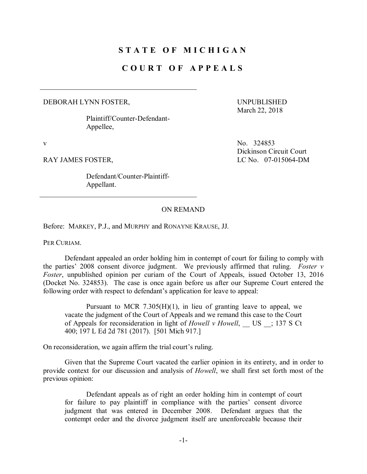# **S T A T E O F M I C H I G A N**

# **C O U R T O F A P P E A L S**

#### DEBORAH LYNN FOSTER,

Plaintiff/Counter-Defendant-Appellee,

Defendant/Counter-Plaintiff-Appellant.

UNPUBLISHED March 22, 2018

v No. 324853 Dickinson Circuit Court RAY JAMES FOSTER, LC No. 07-015064-DM

## ON REMAND

Before: MARKEY, P.J., and MURPHY and RONAYNE KRAUSE, JJ.

PER CURIAM.

Defendant appealed an order holding him in contempt of court for failing to comply with the parties' 2008 consent divorce judgment. We previously affirmed that ruling. *Foster v Foster*, unpublished opinion per curiam of the Court of Appeals, issued October 13, 2016 (Docket No. 324853). The case is once again before us after our Supreme Court entered the following order with respect to defendant's application for leave to appeal:

Pursuant to MCR  $7.305(H)(1)$ , in lieu of granting leave to appeal, we vacate the judgment of the Court of Appeals and we remand this case to the Court of Appeals for reconsideration in light of *Howell* v *Howell*, US : 137 S Ct 400; 197 L Ed 2d 781 (2017). [501 Mich 917.]

On reconsideration, we again affirm the trial court's ruling.

Given that the Supreme Court vacated the earlier opinion in its entirety, and in order to provide context for our discussion and analysis of *Howell*, we shall first set forth most of the previous opinion:

Defendant appeals as of right an order holding him in contempt of court for failure to pay plaintiff in compliance with the parties' consent divorce judgment that was entered in December 2008. Defendant argues that the contempt order and the divorce judgment itself are unenforceable because their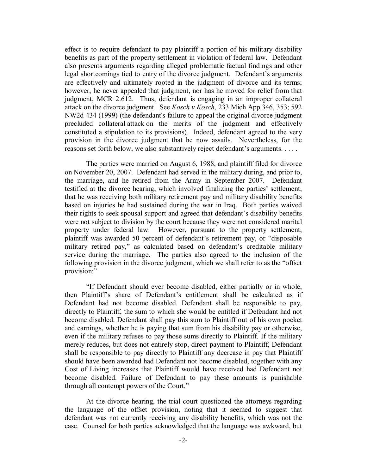effect is to require defendant to pay plaintiff a portion of his military disability benefits as part of the property settlement in violation of federal law. Defendant also presents arguments regarding alleged problematic factual findings and other legal shortcomings tied to entry of the divorce judgment. Defendant's arguments are effectively and ultimately rooted in the judgment of divorce and its terms; however, he never appealed that judgment, nor has he moved for relief from that judgment, MCR 2.612. Thus, defendant is engaging in an improper collateral attack on the divorce judgment. See *Kosch v Kosch*, 233 Mich App 346, 353; 592 NW2d 434 (1999) (the defendant's failure to appeal the original divorce judgment precluded collateral attack on the merits of the judgment and effectively constituted a stipulation to its provisions). Indeed, defendant agreed to the very provision in the divorce judgment that he now assails. Nevertheless, for the reasons set forth below, we also substantively reject defendant's arguments. . . . .

The parties were married on August 6, 1988, and plaintiff filed for divorce on November 20, 2007. Defendant had served in the military during, and prior to, the marriage, and he retired from the Army in September 2007. Defendant testified at the divorce hearing, which involved finalizing the parties' settlement, that he was receiving both military retirement pay and military disability benefits based on injuries he had sustained during the war in Iraq. Both parties waived their rights to seek spousal support and agreed that defendant's disability benefits were not subject to division by the court because they were not considered marital property under federal law. However, pursuant to the property settlement, plaintiff was awarded 50 percent of defendant's retirement pay, or "disposable military retired pay," as calculated based on defendant's creditable military service during the marriage. The parties also agreed to the inclusion of the following provision in the divorce judgment, which we shall refer to as the "offset provision:"

"If Defendant should ever become disabled, either partially or in whole, then Plaintiff's share of Defendant's entitlement shall be calculated as if Defendant had not become disabled. Defendant shall be responsible to pay, directly to Plaintiff, the sum to which she would be entitled if Defendant had not become disabled. Defendant shall pay this sum to Plaintiff out of his own pocket and earnings, whether he is paying that sum from his disability pay or otherwise, even if the military refuses to pay those sums directly to Plaintiff. If the military merely reduces, but does not entirely stop, direct payment to Plaintiff, Defendant shall be responsible to pay directly to Plaintiff any decrease in pay that Plaintiff should have been awarded had Defendant not become disabled, together with any Cost of Living increases that Plaintiff would have received had Defendant not become disabled. Failure of Defendant to pay these amounts is punishable through all contempt powers of the Court."

At the divorce hearing, the trial court questioned the attorneys regarding the language of the offset provision, noting that it seemed to suggest that defendant was not currently receiving any disability benefits, which was not the case. Counsel for both parties acknowledged that the language was awkward, but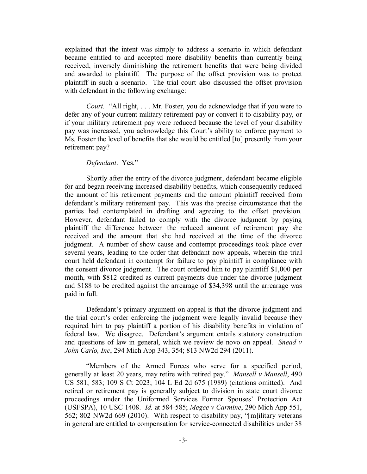explained that the intent was simply to address a scenario in which defendant became entitled to and accepted more disability benefits than currently being received, inversely diminishing the retirement benefits that were being divided and awarded to plaintiff. The purpose of the offset provision was to protect plaintiff in such a scenario. The trial court also discussed the offset provision with defendant in the following exchange:

*Court.* "All right, . . . Mr. Foster, you do acknowledge that if you were to defer any of your current military retirement pay or convert it to disability pay, or if your military retirement pay were reduced because the level of your disability pay was increased, you acknowledge this Court's ability to enforce payment to Ms. Foster the level of benefits that she would be entitled [to] presently from your retirement pay?

## *Defendant*. Yes."

Shortly after the entry of the divorce judgment, defendant became eligible for and began receiving increased disability benefits, which consequently reduced the amount of his retirement payments and the amount plaintiff received from defendant's military retirement pay. This was the precise circumstance that the parties had contemplated in drafting and agreeing to the offset provision. However, defendant failed to comply with the divorce judgment by paying plaintiff the difference between the reduced amount of retirement pay she received and the amount that she had received at the time of the divorce judgment. A number of show cause and contempt proceedings took place over several years, leading to the order that defendant now appeals, wherein the trial court held defendant in contempt for failure to pay plaintiff in compliance with the consent divorce judgment. The court ordered him to pay plaintiff \$1,000 per month, with \$812 credited as current payments due under the divorce judgment and \$188 to be credited against the arrearage of \$34,398 until the arrearage was paid in full.

Defendant's primary argument on appeal is that the divorce judgment and the trial court's order enforcing the judgment were legally invalid because they required him to pay plaintiff a portion of his disability benefits in violation of federal law. We disagree. Defendant's argument entails statutory construction and questions of law in general, which we review de novo on appeal. *Snead v John Carlo, Inc*, 294 Mich App 343, 354; 813 NW2d 294 (2011).

"Members of the Armed Forces who serve for a specified period, generally at least 20 years, may retire with retired pay." *Mansell v Mansell*, 490 US 581, 583; 109 S Ct 2023; 104 L Ed 2d 675 (1989) (citations omitted). And retired or retirement pay is generally subject to division in state court divorce proceedings under the Uniformed Services Former Spouses' Protection Act (USFSPA), 10 USC 1408. *Id.* at 584-585; *Megee v Carmine*, 290 Mich App 551, 562; 802 NW2d 669 (2010). With respect to disability pay, "[m]ilitary veterans in general are entitled to compensation for service-connected disabilities under 38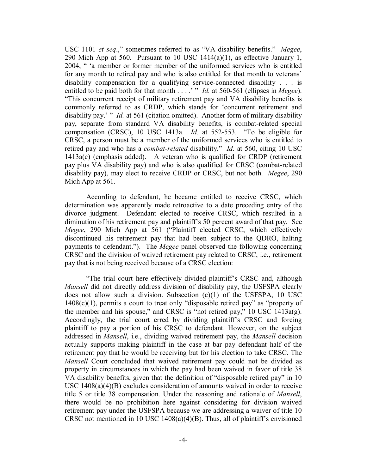USC 1101 *et seq*.," sometimes referred to as "VA disability benefits." *Megee*, 290 Mich App at 560. Pursuant to 10 USC 1414(a)(1), as effective January 1, 2004, " 'a member or former member of the uniformed services who is entitled for any month to retired pay and who is also entitled for that month to veterans' disability compensation for a qualifying service-connected disability . . . is entitled to be paid both for that month . . . .<sup>'</sup> " *Id.* at 560-561 (ellipses in *Megee*). "This concurrent receipt of military retirement pay and VA disability benefits is commonly referred to as CRDP, which stands for 'concurrent retirement and disability pay.' " *Id.* at 561 (citation omitted). Another form of military disability pay, separate from standard VA disability benefits, is combat-related special compensation (CRSC), 10 USC 1413a. *Id.* at 552-553. "To be eligible for CRSC, a person must be a member of the uniformed services who is entitled to retired pay and who has a *combat-related* disability." *Id.* at 560, citing 10 USC 1413a(c) (emphasis added). A veteran who is qualified for CRDP (retirement pay plus VA disability pay) and who is also qualified for CRSC (combat-related disability pay), may elect to receive CRDP or CRSC, but not both. *Megee*, 290 Mich App at 561.

According to defendant, he became entitled to receive CRSC, which determination was apparently made retroactive to a date preceding entry of the divorce judgment. Defendant elected to receive CRSC, which resulted in a diminution of his retirement pay and plaintiff's 50 percent award of that pay. See *Megee*, 290 Mich App at 561 ("Plaintiff elected CRSC, which effectively discontinued his retirement pay that had been subject to the QDRO, halting payments to defendant."). The *Megee* panel observed the following concerning CRSC and the division of waived retirement pay related to CRSC, i.e., retirement pay that is not being received because of a CRSC election:

"The trial court here effectively divided plaintiff's CRSC and, although *Mansell* did not directly address division of disability pay, the USFSPA clearly does not allow such a division. Subsection (c)(1) of the USFSPA, 10 USC 1408(c)(1), permits a court to treat only "disposable retired pay" as "property of the member and his spouse," and CRSC is "not retired pay," 10 USC 1413a(g). Accordingly, the trial court erred by dividing plaintiff's CRSC and forcing plaintiff to pay a portion of his CRSC to defendant. However, on the subject addressed in *Mansell*, i.e., dividing waived retirement pay, the *Mansell* decision actually supports making plaintiff in the case at bar pay defendant half of the retirement pay that he would be receiving but for his election to take CRSC. The *Mansell* Court concluded that waived retirement pay could not be divided as property in circumstances in which the pay had been waived in favor of title 38 VA disability benefits, given that the definition of "disposable retired pay" in 10 USC 1408(a)(4)(B) excludes consideration of amounts waived in order to receive title 5 or title 38 compensation. Under the reasoning and rationale of *Mansell*, there would be no prohibition here against considering for division waived retirement pay under the USFSPA because we are addressing a waiver of title 10 CRSC not mentioned in 10 USC  $1408(a)(4)(B)$ . Thus, all of plaintiff's envisioned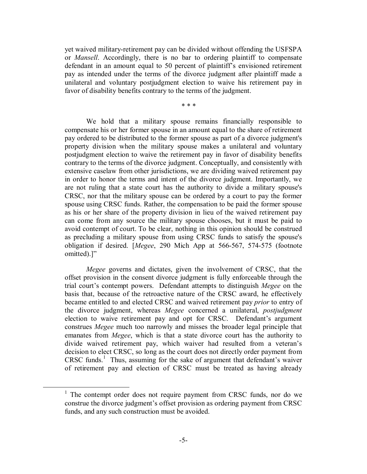yet waived military-retirement pay can be divided without offending the USFSPA or *Mansell*. Accordingly, there is no bar to ordering plaintiff to compensate defendant in an amount equal to 50 percent of plaintiff's envisioned retirement pay as intended under the terms of the divorce judgment after plaintiff made a unilateral and voluntary postjudgment election to waive his retirement pay in favor of disability benefits contrary to the terms of the judgment.

\* \* \*

We hold that a military spouse remains financially responsible to compensate his or her former spouse in an amount equal to the share of retirement pay ordered to be distributed to the former spouse as part of a divorce judgment's property division when the military spouse makes a unilateral and voluntary postjudgment election to waive the retirement pay in favor of disability benefits contrary to the terms of the divorce judgment. Conceptually, and consistently with extensive caselaw from other jurisdictions, we are dividing waived retirement pay in order to honor the terms and intent of the divorce judgment. Importantly, we are not ruling that a state court has the authority to divide a military spouse's CRSC, nor that the military spouse can be ordered by a court to pay the former spouse using CRSC funds. Rather, the compensation to be paid the former spouse as his or her share of the property division in lieu of the waived retirement pay can come from any source the military spouse chooses, but it must be paid to avoid contempt of court. To be clear, nothing in this opinion should be construed as precluding a military spouse from using CRSC funds to satisfy the spouse's obligation if desired. [*Megee*, 290 Mich App at 566-567, 574-575 (footnote omitted).]"

*Megee* governs and dictates, given the involvement of CRSC, that the offset provision in the consent divorce judgment is fully enforceable through the trial court's contempt powers. Defendant attempts to distinguish *Megee* on the basis that, because of the retroactive nature of the CRSC award, he effectively became entitled to and elected CRSC and waived retirement pay *prior* to entry of the divorce judgment, whereas *Megee* concerned a unilateral, *postjudgment*  election to waive retirement pay and opt for CRSC. Defendant's argument construes *Megee* much too narrowly and misses the broader legal principle that emanates from *Megee*, which is that a state divorce court has the authority to divide waived retirement pay, which waiver had resulted from a veteran's decision to elect CRSC, so long as the court does not directly order payment from CRSC funds. $1$  Thus, assuming for the sake of argument that defendant's waiver of retirement pay and election of CRSC must be treated as having already

 $1$  The contempt order does not require payment from CRSC funds, nor do we construe the divorce judgment's offset provision as ordering payment from CRSC funds, and any such construction must be avoided.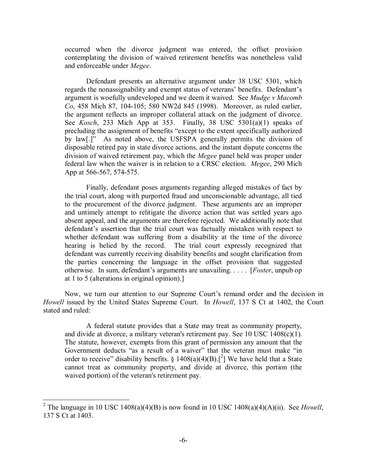occurred when the divorce judgment was entered, the offset provision contemplating the division of waived retirement benefits was nonetheless valid and enforceable under *Megee*.

Defendant presents an alternative argument under 38 USC 5301, which regards the nonassignability and exempt status of veterans' benefits. Defendant's argument is woefully undeveloped and we deem it waived. See *Mudge v Macomb Co*, 458 Mich 87, 104-105; 580 NW2d 845 (1998). Moreover, as ruled earlier, the argument reflects an improper collateral attack on the judgment of divorce. See *Kosch*, 233 Mich App at 353. Finally, 38 USC 5301(a)(1) speaks of precluding the assignment of benefits "except to the extent specifically authorized by law[.]" As noted above, the USFSPA generally permits the division of disposable retired pay in state divorce actions, and the instant dispute concerns the division of waived retirement pay, which the *Megee* panel held was proper under federal law when the waiver is in relation to a CRSC election. *Megee*, 290 Mich App at 566-567, 574-575.

Finally, defendant poses arguments regarding alleged mistakes of fact by the trial court, along with purported fraud and unconscionable advantage, all tied to the procurement of the divorce judgment. These arguments are an improper and untimely attempt to relitigate the divorce action that was settled years ago absent appeal, and the arguments are therefore rejected. We additionally note that defendant's assertion that the trial court was factually mistaken with respect to whether defendant was suffering from a disability at the time of the divorce hearing is belied by the record. The trial court expressly recognized that defendant was currently receiving disability benefits and sought clarification from the parties concerning the language in the offset provision that suggested otherwise. In sum, defendant's arguments are unavailing. . . . . [*Foster*, unpub op at 1 to 5 (alterations in original opinion).]

Now, we turn our attention to our Supreme Court's remand order and the decision in *Howell* issued by the United States Supreme Court. In *Howell*, 137 S Ct at 1402, the Court stated and ruled:

A federal statute provides that a State may treat as community property, and divide at divorce, a military veteran's retirement pay. See 10 USC 1408(c)(1). The statute, however, exempts from this grant of permission any amount that the Government deducts "as a result of a waiver" that the veteran must make "in order to receive" disability benefits.  $\S 1408(a)(4)(B)$ .<sup>[2</sup>] We have held that a State cannot treat as community property, and divide at divorce, this portion (the waived portion) of the veteran's retirement pay.

<sup>&</sup>lt;sup>2</sup> The language in 10 USC 1408(a)(4)(B) is now found in 10 USC 1408(a)(4)(A)(ii). See *Howell*, 137 S Ct at 1403.